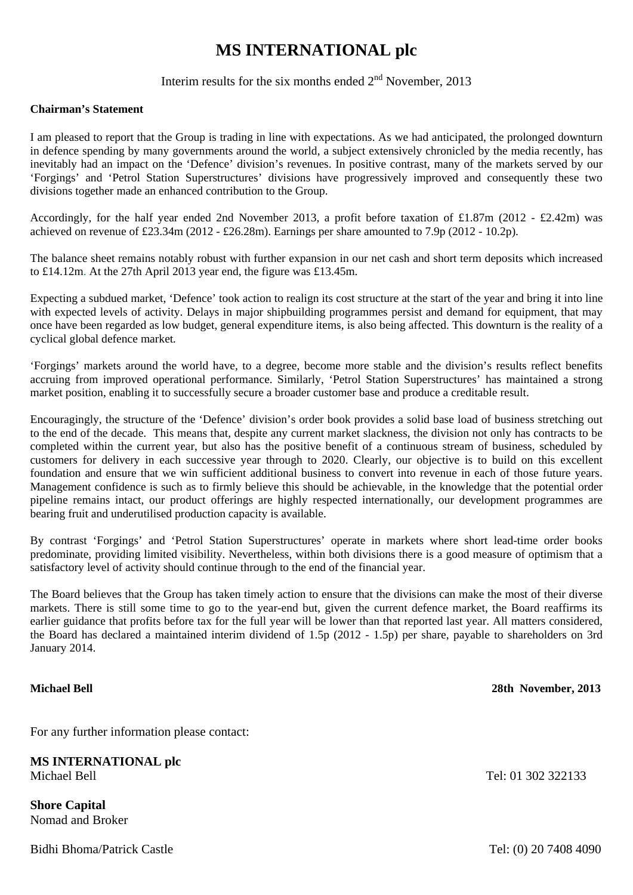### **MS INTERNATIONAL plc**

### Interim results for the six months ended  $2<sup>nd</sup>$  November, 2013

### **Chairman's Statement**

I am pleased to report that the Group is trading in line with expectations. As we had anticipated, the prolonged downturn in defence spending by many governments around the world, a subject extensively chronicled by the media recently, has inevitably had an impact on the 'Defence' division's revenues. In positive contrast, many of the markets served by our 'Forgings' and 'Petrol Station Superstructures' divisions have progressively improved and consequently these two divisions together made an enhanced contribution to the Group.

Accordingly, for the half year ended 2nd November 2013, a profit before taxation of £1.87m (2012 - £2.42m) was achieved on revenue of £23.34m (2012 - £26.28m). Earnings per share amounted to 7.9p (2012 - 10.2p).

The balance sheet remains notably robust with further expansion in our net cash and short term deposits which increased to £14.12m. At the 27th April 2013 year end, the figure was £13.45m.

Expecting a subdued market, 'Defence' took action to realign its cost structure at the start of the year and bring it into line with expected levels of activity. Delays in major shipbuilding programmes persist and demand for equipment, that may once have been regarded as low budget, general expenditure items, is also being affected. This downturn is the reality of a cyclical global defence market*.*

'Forgings' markets around the world have, to a degree, become more stable and the division's results reflect benefits accruing from improved operational performance. Similarly, 'Petrol Station Superstructures' has maintained a strong market position, enabling it to successfully secure a broader customer base and produce a creditable result.

Encouragingly*,* the structure of the 'Defence' division's order book provides a solid base load of business stretching out to the end of the decade. This means that, despite any current market slackness, the division not only has contracts to be completed within the current year, but also has the positive benefit of a continuous stream of business, scheduled by customers for delivery in each successive year through to 2020. Clearly, our objective is to build on this excellent foundation and ensure that we win sufficient additional business to convert into revenue in each of those future years. Management confidence is such as to firmly believe this should be achievable, in the knowledge that the potential order pipeline remains intact, our product offerings are highly respected internationally, our development programmes are bearing fruit and underutilised production capacity is available.

By contrast 'Forgings' and 'Petrol Station Superstructures' operate in markets where short lead-time order books predominate, providing limited visibility. Nevertheless, within both divisions there is a good measure of optimism that a satisfactory level of activity should continue through to the end of the financial year.

The Board believes that the Group has taken timely action to ensure that the divisions can make the most of their diverse markets. There is still some time to go to the year-end but, given the current defence market, the Board reaffirms its earlier guidance that profits before tax for the full year will be lower than that reported last year. All matters considered, the Board has declared a maintained interim dividend of 1.5p (2012 - 1.5p) per share, payable to shareholders on 3rd January 2014.

For any further information please contact:

**MS INTERNATIONAL plc**  Michael Bell Tel: 01 302 322133

**Shore Capital**  Nomad and Broker

Bidhi Bhoma/Patrick Castle Tel: (0) 20 7408 4090

**Michael Bell****28th November, 2013**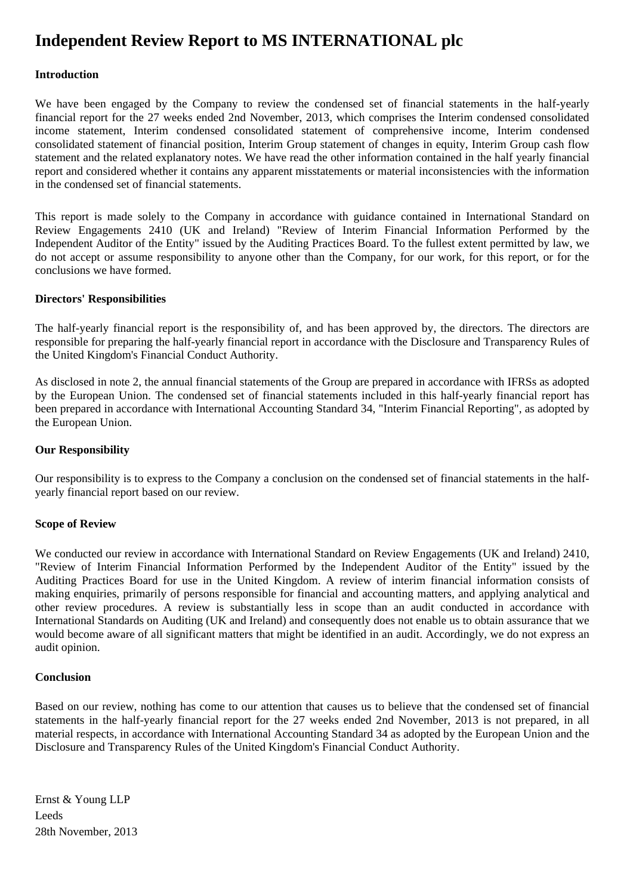### **Independent Review Report to MS INTERNATIONAL plc**

### **Introduction**

We have been engaged by the Company to review the condensed set of financial statements in the half-yearly financial report for the 27 weeks ended 2nd November, 2013, which comprises the Interim condensed consolidated income statement, Interim condensed consolidated statement of comprehensive income, Interim condensed consolidated statement of financial position, Interim Group statement of changes in equity, Interim Group cash flow statement and the related explanatory notes. We have read the other information contained in the half yearly financial report and considered whether it contains any apparent misstatements or material inconsistencies with the information in the condensed set of financial statements.

This report is made solely to the Company in accordance with guidance contained in International Standard on Review Engagements 2410 (UK and Ireland) "Review of Interim Financial Information Performed by the Independent Auditor of the Entity" issued by the Auditing Practices Board. To the fullest extent permitted by law, we do not accept or assume responsibility to anyone other than the Company, for our work, for this report, or for the conclusions we have formed.

### **Directors' Responsibilities**

The half-yearly financial report is the responsibility of, and has been approved by, the directors. The directors are responsible for preparing the half-yearly financial report in accordance with the Disclosure and Transparency Rules of the United Kingdom's Financial Conduct Authority.

As disclosed in note 2, the annual financial statements of the Group are prepared in accordance with IFRSs as adopted by the European Union. The condensed set of financial statements included in this half-yearly financial report has been prepared in accordance with International Accounting Standard 34, "Interim Financial Reporting", as adopted by the European Union.

### **Our Responsibility**

Our responsibility is to express to the Company a conclusion on the condensed set of financial statements in the halfyearly financial report based on our review.

### **Scope of Review**

We conducted our review in accordance with International Standard on Review Engagements (UK and Ireland) 2410, "Review of Interim Financial Information Performed by the Independent Auditor of the Entity" issued by the Auditing Practices Board for use in the United Kingdom. A review of interim financial information consists of making enquiries, primarily of persons responsible for financial and accounting matters, and applying analytical and other review procedures. A review is substantially less in scope than an audit conducted in accordance with International Standards on Auditing (UK and Ireland) and consequently does not enable us to obtain assurance that we would become aware of all significant matters that might be identified in an audit. Accordingly, we do not express an audit opinion.

### **Conclusion**

Based on our review, nothing has come to our attention that causes us to believe that the condensed set of financial statements in the half-yearly financial report for the 27 weeks ended 2nd November, 2013 is not prepared, in all material respects, in accordance with International Accounting Standard 34 as adopted by the European Union and the Disclosure and Transparency Rules of the United Kingdom's Financial Conduct Authority.

Ernst & Young LLP Leeds 28th November, 2013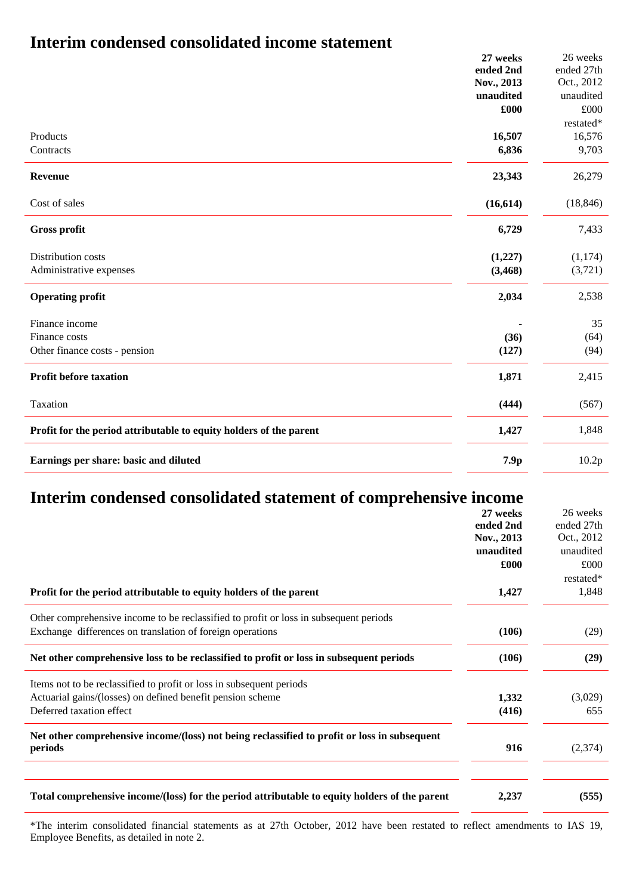### **Interim condensed consolidated income statement**

|                                                                    | 27 weeks         | 26 weeks     |
|--------------------------------------------------------------------|------------------|--------------|
|                                                                    | ended 2nd        | ended 27th   |
|                                                                    | Nov., 2013       | Oct., 2012   |
|                                                                    | unaudited        | unaudited    |
|                                                                    | £000             | $\pounds000$ |
|                                                                    |                  | restated*    |
| Products                                                           | 16,507           | 16,576       |
| Contracts                                                          | 6,836            | 9,703        |
| Revenue                                                            | 23,343           | 26,279       |
| Cost of sales                                                      | (16, 614)        | (18, 846)    |
| Gross profit                                                       | 6,729            | 7,433        |
| Distribution costs                                                 | (1,227)          | (1,174)      |
| Administrative expenses                                            | (3, 468)         | (3,721)      |
| <b>Operating profit</b>                                            | 2,034            | 2,538        |
| Finance income                                                     |                  | 35           |
| Finance costs                                                      | (36)             | (64)         |
| Other finance costs - pension                                      | (127)            | (94)         |
| <b>Profit before taxation</b>                                      | 1,871            | 2,415        |
| Taxation                                                           | (444)            | (567)        |
| Profit for the period attributable to equity holders of the parent | 1,427            | 1,848        |
| Earnings per share: basic and diluted                              | 7.9 <sub>p</sub> | 10.2p        |

### **Interim condensed consolidated statement of comprehensive income**

|                                                                                                         | 27 weeks<br>ended 2nd | 26 weeks<br>ended 27th |
|---------------------------------------------------------------------------------------------------------|-----------------------|------------------------|
|                                                                                                         | Nov., 2013            | Oct., 2012             |
|                                                                                                         | unaudited             | unaudited              |
|                                                                                                         | £000                  | £000                   |
|                                                                                                         |                       | restated*              |
| Profit for the period attributable to equity holders of the parent                                      | 1,427                 | 1,848                  |
| Other comprehensive income to be reclassified to profit or loss in subsequent periods                   |                       |                        |
| Exchange differences on translation of foreign operations                                               | (106)                 | (29)                   |
| Net other comprehensive loss to be reclassified to profit or loss in subsequent periods                 | (106)                 | (29)                   |
| Items not to be reclassified to profit or loss in subsequent periods                                    |                       |                        |
| Actuarial gains/(losses) on defined benefit pension scheme                                              | 1,332                 | (3,029)                |
| Deferred taxation effect                                                                                | (416)                 | 655                    |
| Net other comprehensive income/(loss) not being reclassified to profit or loss in subsequent<br>periods | 916                   | (2,374)                |
|                                                                                                         |                       |                        |
|                                                                                                         |                       |                        |
| Total comprehensive income/(loss) for the period attributable to equity holders of the parent           | 2,237                 | (555)                  |

\*The interim consolidated financial statements as at 27th October, 2012 have been restated to reflect amendments to IAS 19, Employee Benefits, as detailed in note 2.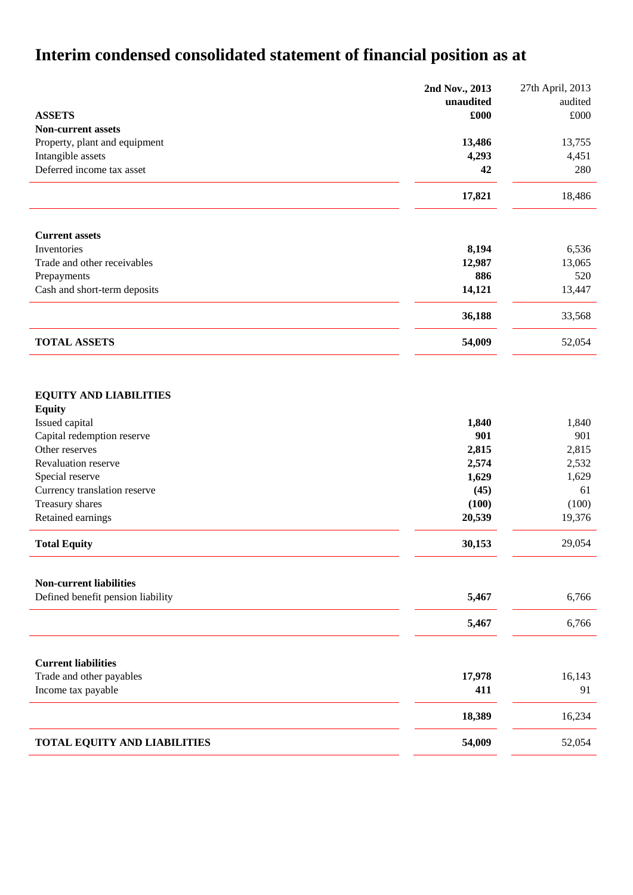# **Interim condensed consolidated statement of financial position as at**

|                                                | 2nd Nov., 2013    | 27th April, 2013 |
|------------------------------------------------|-------------------|------------------|
| <b>ASSETS</b>                                  | unaudited<br>£000 | audited<br>£000  |
| <b>Non-current assets</b>                      |                   |                  |
| Property, plant and equipment                  | 13,486            | 13,755           |
| Intangible assets                              | 4,293             | 4,451            |
| Deferred income tax asset                      | 42                | 280              |
|                                                |                   |                  |
|                                                | 17,821            | 18,486           |
| <b>Current assets</b>                          |                   |                  |
| Inventories                                    | 8,194             | 6,536            |
| Trade and other receivables                    | 12,987            | 13,065           |
| Prepayments                                    | 886               | 520              |
| Cash and short-term deposits                   | 14,121            | 13,447           |
|                                                | 36,188            | 33,568           |
| <b>TOTAL ASSETS</b>                            | 54,009            | 52,054           |
| <b>EQUITY AND LIABILITIES</b><br><b>Equity</b> |                   |                  |
| Issued capital                                 | 1,840             | 1,840            |
| Capital redemption reserve                     | 901               | 901              |
| Other reserves                                 | 2,815             | 2,815            |
| Revaluation reserve                            | 2,574             | 2,532            |
| Special reserve                                | 1,629             | 1,629            |
| Currency translation reserve                   | (45)              | 61               |
| Treasury shares                                | (100)             | (100)            |
| Retained earnings                              | 20,539            | 19,376           |
| <b>Total Equity</b>                            | 30,153            | 29,054           |
| <b>Non-current liabilities</b>                 |                   |                  |
| Defined benefit pension liability              | 5,467             | 6,766            |
|                                                | 5,467             | 6,766            |
| <b>Current liabilities</b>                     |                   |                  |
| Trade and other payables                       | 17,978            | 16,143           |
| Income tax payable                             | 411               | 91               |
|                                                | 18,389            | 16,234           |
| TOTAL EQUITY AND LIABILITIES                   | 54,009            | 52,054           |
|                                                |                   |                  |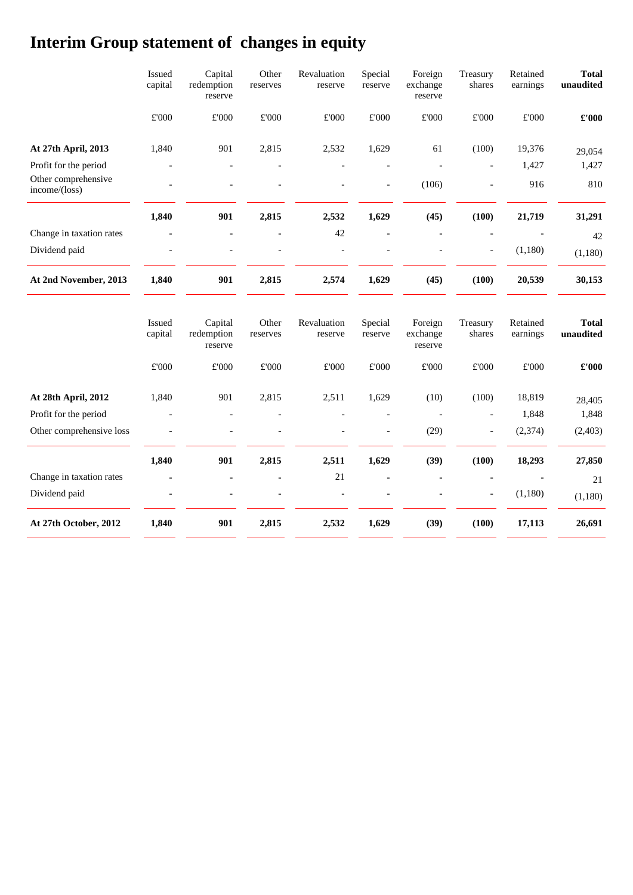# **Interim Group statement of changes in equity**

| $\pounds 000$                          |
|----------------------------------------|
|                                        |
| 29,054                                 |
| 1,427                                  |
| 810                                    |
| 31,291                                 |
| 42                                     |
| (1,180)                                |
| 30,153                                 |
| <b>Total</b><br>unaudited              |
| $\pmb{\pounds}^{\text{r}}000$          |
| 28,405                                 |
| 1,848                                  |
| (2,403)                                |
| 27,850                                 |
| 21                                     |
| (1,180)                                |
| 26,691                                 |
| 19,376<br>earnings<br>18,293<br>17,113 |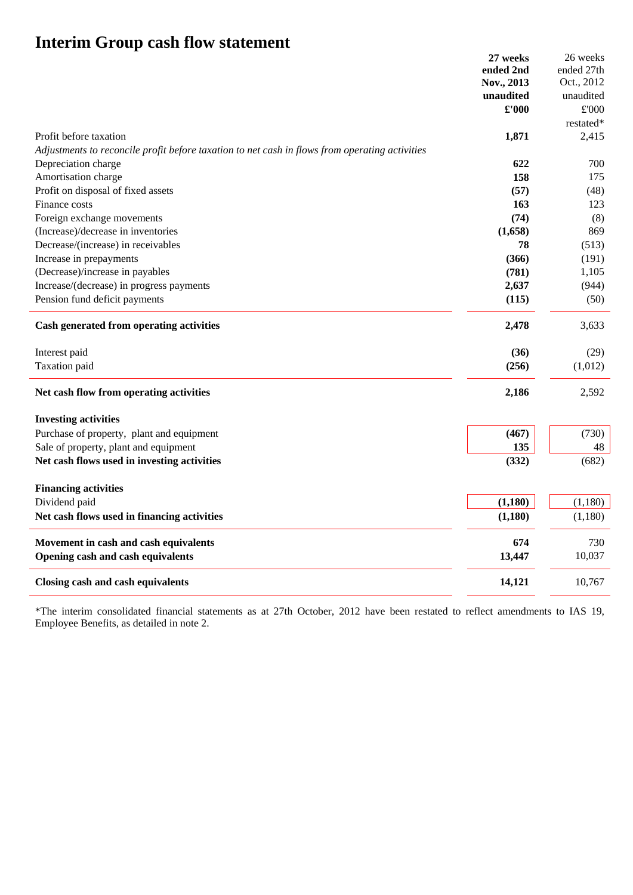## **Interim Group cash flow statement**

|                                                                                                | 27 weeks<br>ended 2nd | 26 weeks<br>ended 27th |
|------------------------------------------------------------------------------------------------|-----------------------|------------------------|
|                                                                                                | Nov., 2013            | Oct., 2012             |
|                                                                                                | unaudited             | unaudited              |
|                                                                                                | £'000                 | £'000                  |
|                                                                                                |                       | restated*              |
| Profit before taxation                                                                         | 1,871                 | 2,415                  |
| Adjustments to reconcile profit before taxation to net cash in flows from operating activities |                       |                        |
| Depreciation charge                                                                            | 622                   | 700                    |
| Amortisation charge                                                                            | 158                   | 175                    |
| Profit on disposal of fixed assets                                                             | (57)                  | (48)                   |
| Finance costs                                                                                  | 163                   | 123                    |
| Foreign exchange movements                                                                     | (74)                  | (8)                    |
| (Increase)/decrease in inventories                                                             | (1,658)               | 869                    |
| Decrease/(increase) in receivables                                                             | 78                    | (513)                  |
| Increase in prepayments                                                                        | (366)                 | (191)                  |
| (Decrease)/increase in payables                                                                | (781)                 | 1,105                  |
| Increase/(decrease) in progress payments                                                       | 2,637                 | (944)                  |
| Pension fund deficit payments                                                                  | (115)                 | (50)                   |
| Cash generated from operating activities                                                       | 2,478                 | 3,633                  |
| Interest paid                                                                                  | (36)                  | (29)                   |
| Taxation paid                                                                                  | (256)                 | (1,012)                |
| Net cash flow from operating activities                                                        | 2,186                 | 2,592                  |
| <b>Investing activities</b>                                                                    |                       |                        |
| Purchase of property, plant and equipment                                                      | (467)                 | (730)                  |
| Sale of property, plant and equipment                                                          | 135                   | 48                     |
| Net cash flows used in investing activities                                                    | (332)                 | (682)                  |
| <b>Financing activities</b>                                                                    |                       |                        |
| Dividend paid                                                                                  | (1,180)               | (1,180)                |
| Net cash flows used in financing activities                                                    | (1,180)               | (1,180)                |
| Movement in cash and cash equivalents                                                          | 674                   | 730                    |
| Opening cash and cash equivalents                                                              | 13,447                | 10,037                 |
| Closing cash and cash equivalents                                                              | 14,121                | 10,767                 |

\*The interim consolidated financial statements as at 27th October, 2012 have been restated to reflect amendments to IAS 19, Employee Benefits, as detailed in note 2.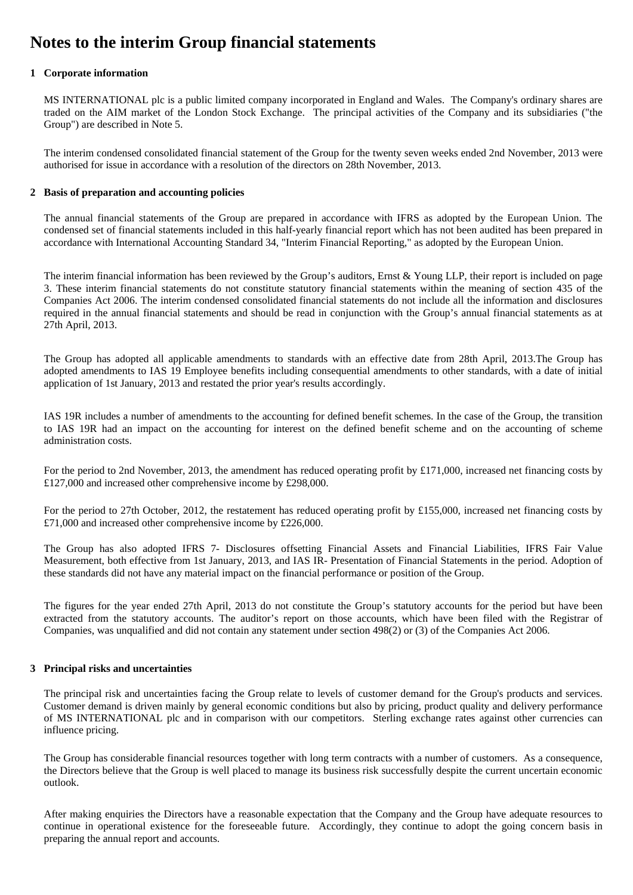### **Notes to the interim Group financial statements**

### **1 Corporate information**

MS INTERNATIONAL plc is a public limited company incorporated in England and Wales. The Company's ordinary shares are traded on the AIM market of the London Stock Exchange. The principal activities of the Company and its subsidiaries ("the Group") are described in Note 5.

The interim condensed consolidated financial statement of the Group for the twenty seven weeks ended 2nd November, 2013 were authorised for issue in accordance with a resolution of the directors on 28th November, 2013.

### **2 Basis of preparation and accounting policies**

The annual financial statements of the Group are prepared in accordance with IFRS as adopted by the European Union. The condensed set of financial statements included in this half-yearly financial report which has not been audited has been prepared in accordance with International Accounting Standard 34, "Interim Financial Reporting," as adopted by the European Union.

The interim financial information has been reviewed by the Group's auditors, Ernst & Young LLP, their report is included on page 3. These interim financial statements do not constitute statutory financial statements within the meaning of section 435 of the Companies Act 2006. The interim condensed consolidated financial statements do not include all the information and disclosures required in the annual financial statements and should be read in conjunction with the Group's annual financial statements as at 27th April, 2013.

The Group has adopted all applicable amendments to standards with an effective date from 28th April, 2013.The Group has adopted amendments to IAS 19 Employee benefits including consequential amendments to other standards, with a date of initial application of 1st January, 2013 and restated the prior year's results accordingly.

IAS 19R includes a number of amendments to the accounting for defined benefit schemes. In the case of the Group, the transition to IAS 19R had an impact on the accounting for interest on the defined benefit scheme and on the accounting of scheme administration costs.

For the period to 2nd November, 2013, the amendment has reduced operating profit by £171,000, increased net financing costs by £127,000 and increased other comprehensive income by £298,000.

For the period to 27th October, 2012, the restatement has reduced operating profit by £155,000, increased net financing costs by £71,000 and increased other comprehensive income by £226,000.

The Group has also adopted IFRS 7- Disclosures offsetting Financial Assets and Financial Liabilities, IFRS Fair Value Measurement, both effective from 1st January, 2013, and IAS IR- Presentation of Financial Statements in the period. Adoption of these standards did not have any material impact on the financial performance or position of the Group.

The figures for the year ended 27th April, 2013 do not constitute the Group's statutory accounts for the period but have been extracted from the statutory accounts. The auditor's report on those accounts, which have been filed with the Registrar of Companies, was unqualified and did not contain any statement under section 498(2) or (3) of the Companies Act 2006.

#### **3 Principal risks and uncertainties**

The principal risk and uncertainties facing the Group relate to levels of customer demand for the Group's products and services. Customer demand is driven mainly by general economic conditions but also by pricing, product quality and delivery performance of MS INTERNATIONAL plc and in comparison with our competitors. Sterling exchange rates against other currencies can influence pricing.

The Group has considerable financial resources together with long term contracts with a number of customers. As a consequence, the Directors believe that the Group is well placed to manage its business risk successfully despite the current uncertain economic outlook.

After making enquiries the Directors have a reasonable expectation that the Company and the Group have adequate resources to continue in operational existence for the foreseeable future. Accordingly, they continue to adopt the going concern basis in preparing the annual report and accounts.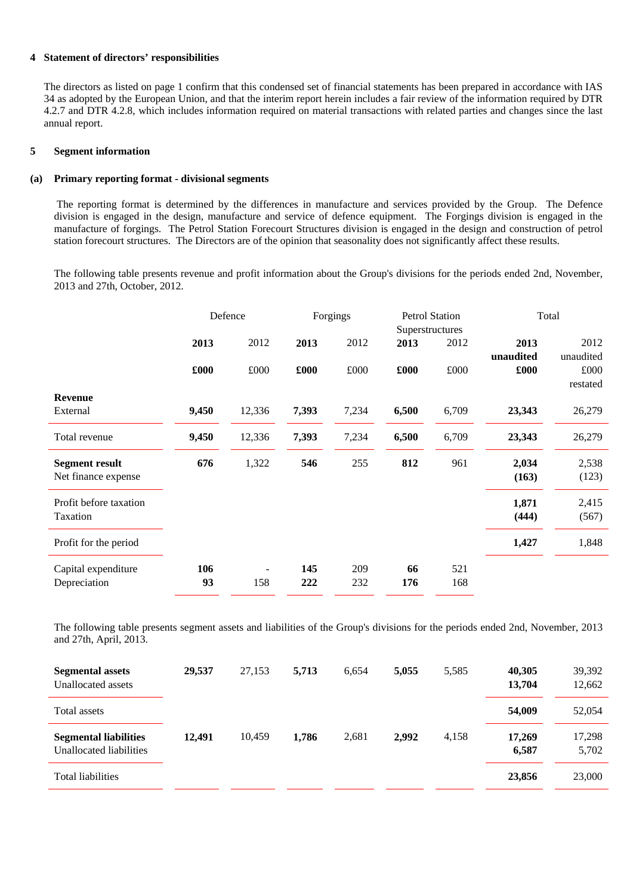### **4 Statement of directors' responsibilities**

The directors as listed on page 1 confirm that this condensed set of financial statements has been prepared in accordance with IAS 34 as adopted by the European Union, and that the interim report herein includes a fair review of the information required by DTR 4.2.7 and DTR 4.2.8, which includes information required on material transactions with related parties and changes since the last annual report.

### **5 Segment information**

### **(a) Primary reporting format - divisional segments**

 The reporting format is determined by the differences in manufacture and services provided by the Group. The Defence division is engaged in the design, manufacture and service of defence equipment. The Forgings division is engaged in the manufacture of forgings. The Petrol Station Forecourt Structures division is engaged in the design and construction of petrol station forecourt structures. The Directors are of the opinion that seasonality does not significantly affect these results.

The following table presents revenue and profit information about the Group's divisions for the periods ended 2nd, November, 2013 and 27th, October, 2012.

|                        | Defence |        | Forgings |       | Petrol Station<br>Superstructures |       | Total             |                   |
|------------------------|---------|--------|----------|-------|-----------------------------------|-------|-------------------|-------------------|
|                        | 2013    | 2012   | 2013     | 2012  | 2013                              | 2012  | 2013<br>unaudited | 2012<br>unaudited |
|                        | £000    | £000   | £000     | £000  | £000                              | £000  | £000              | £000<br>restated  |
| <b>Revenue</b>         |         |        |          |       |                                   |       |                   |                   |
| External               | 9,450   | 12,336 | 7,393    | 7,234 | 6,500                             | 6,709 | 23,343            | 26,279            |
| Total revenue          | 9,450   | 12,336 | 7,393    | 7,234 | 6,500                             | 6,709 | 23,343            | 26,279            |
| <b>Segment result</b>  | 676     | 1,322  | 546      | 255   | 812                               | 961   | 2,034             | 2,538             |
| Net finance expense    |         |        |          |       |                                   |       | (163)             | (123)             |
| Profit before taxation |         |        |          |       |                                   |       | 1,871             | 2,415             |
| Taxation               |         |        |          |       |                                   |       | (444)             | (567)             |
| Profit for the period  |         |        |          |       |                                   |       | 1,427             | 1,848             |
| Capital expenditure    | 106     | ۰      | 145      | 209   | 66                                | 521   |                   |                   |
| Depreciation           | 93      | 158    | 222      | 232   | 176                               | 168   |                   |                   |

The following table presents segment assets and liabilities of the Group's divisions for the periods ended 2nd, November, 2013 and 27th, April, 2013.

| <b>Segmental assets</b><br>Unallocated assets           | 29,537 | 27,153 | 5,713 | 6,654 | 5,055 | 5,585 | 40,305<br>13,704 | 39,392<br>12,662 |
|---------------------------------------------------------|--------|--------|-------|-------|-------|-------|------------------|------------------|
| Total assets                                            |        |        |       |       |       |       | 54,009           | 52,054           |
| <b>Segmental liabilities</b><br>Unallocated liabilities | 12.491 | 10.459 | 1,786 | 2,681 | 2,992 | 4,158 | 17,269<br>6,587  | 17,298<br>5,702  |
| <b>Total liabilities</b>                                |        |        |       |       |       |       | 23,856           | 23,000           |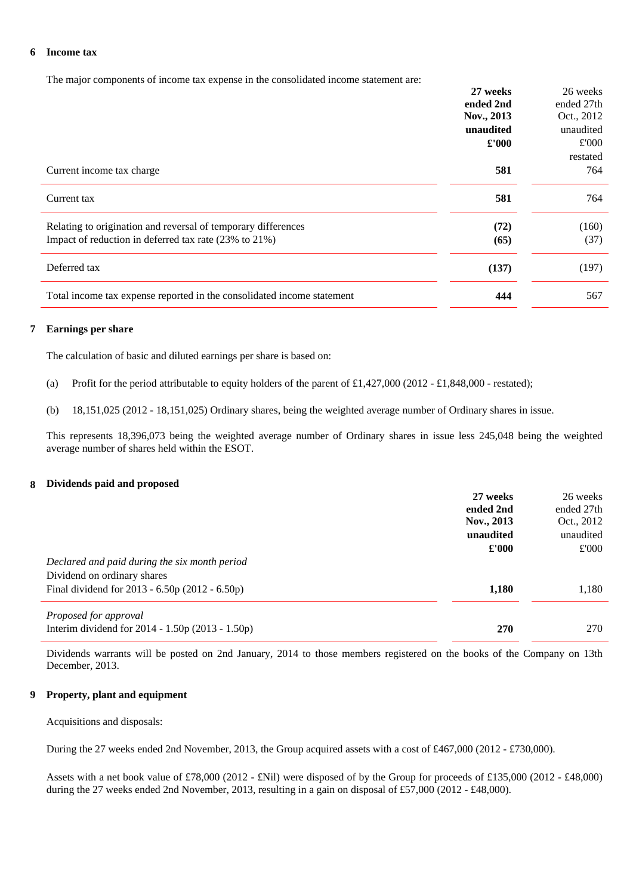### **6 Income tax**

The major components of income tax expense in the consolidated income statement are:

|                                                                        | 27 weeks      | 26 weeks   |
|------------------------------------------------------------------------|---------------|------------|
|                                                                        | ended 2nd     | ended 27th |
|                                                                        | Nov., 2013    | Oct., 2012 |
|                                                                        | unaudited     | unaudited  |
|                                                                        | $\pounds 000$ | £'000      |
|                                                                        |               | restated   |
| Current income tax charge                                              | 581           | 764        |
| Current tax                                                            | 581           | 764        |
| Relating to origination and reversal of temporary differences          | (72)          | (160)      |
| Impact of reduction in deferred tax rate (23% to 21%)                  | (65)          | (37)       |
| Deferred tax                                                           | (137)         | (197)      |
| Total income tax expense reported in the consolidated income statement | 444           | 567        |

#### **7 Earnings per share**

The calculation of basic and diluted earnings per share is based on:

- (a) Profit for the period attributable to equity holders of the parent of £1,427,000 (2012 £1,848,000 restated);
- (b) 18,151,025 (2012 18,151,025) Ordinary shares, being the weighted average number of Ordinary shares in issue.

This represents 18,396,073 being the weighted average number of Ordinary shares in issue less 245,048 being the weighted average number of shares held within the ESOT.

### **8 Dividends paid and proposed**

|                                                                                                                                | 27 weeks<br>ended 2nd   | 26 weeks<br>ended 27th  |
|--------------------------------------------------------------------------------------------------------------------------------|-------------------------|-------------------------|
|                                                                                                                                | Nov., 2013<br>unaudited | Oct., 2012<br>unaudited |
| Declared and paid during the six month period<br>Dividend on ordinary shares<br>Final dividend for 2013 - 6.50p (2012 - 6.50p) | $\pounds 000$<br>1,180  | £'000<br>1,180          |
| Proposed for approval<br>Interim dividend for $2014 - 1.50p(2013 - 1.50p)$                                                     | 270                     | 270                     |

Dividends warrants will be posted on 2nd January, 2014 to those members registered on the books of the Company on 13th December, 2013.

### **9 Property, plant and equipment**

Acquisitions and disposals:

During the 27 weeks ended 2nd November, 2013, the Group acquired assets with a cost of £467,000 (2012 - £730,000).

Assets with a net book value of £78,000 (2012 - £Nil) were disposed of by the Group for proceeds of £135,000 (2012 - £48,000) during the 27 weeks ended 2nd November, 2013, resulting in a gain on disposal of £57,000 (2012 - £48,000).